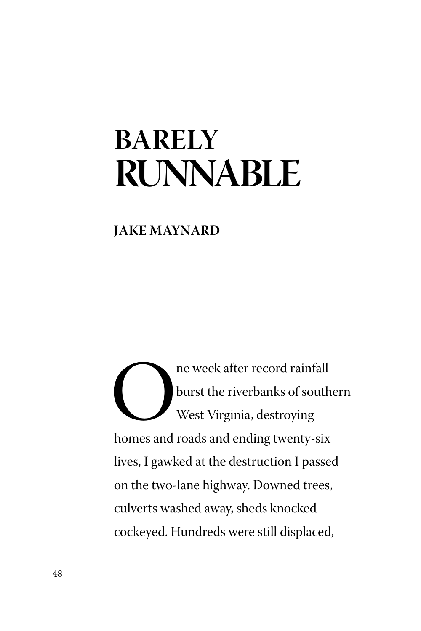## **BARELY RUNNABLE**

## **JAKE MAYNARD**

ne week after record rainfall<br>
burst the riverbanks of south<br>
West Virginia, destroying<br>
homes and roads and ending twenty-six burst the riverbanks of southern West Virginia, destroying lives, I gawked at the destruction I passed on the two-lane highway. Downed trees, culverts washed away, sheds knocked cockeyed. Hundreds were still displaced,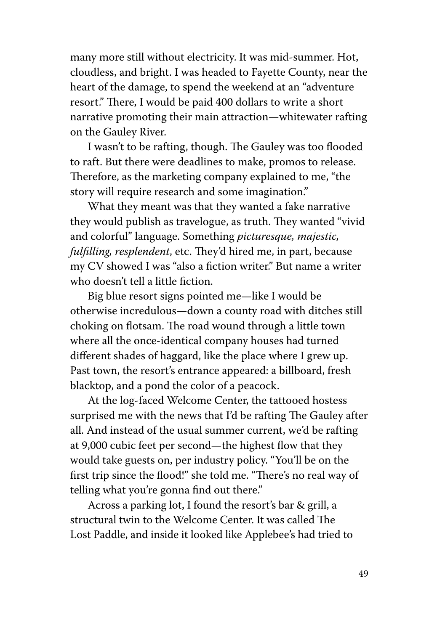many more still without electricity. It was mid-summer. Hot, cloudless, and bright. I was headed to Fayette County, near the heart of the damage, to spend the weekend at an "adventure resort." There, I would be paid 400 dollars to write a short narrative promoting their main attraction—whitewater rafting on the Gauley River.

I wasn't to be rafting, though. The Gauley was too flooded to raft. But there were deadlines to make, promos to release. Therefore, as the marketing company explained to me, "the story will require research and some imagination."

What they meant was that they wanted a fake narrative they would publish as travelogue, as truth. They wanted "vivid and colorful" language. Something picturesque, majestic, fulfilling, resplendent, etc. They'd hired me, in part, because my CV showed I was "also a fiction writer." But name a writer who doesn't tell a little fiction.

Big blue resort signs pointed me—like I would be otherwise incredulous—down a county road with ditches still choking on flotsam. The road wound through a little town where all the once-identical company houses had turned different shades of haggard, like the place where I grew up. Past town, the resort's entrance appeared: a billboard, fresh blacktop, and a pond the color of a peacock.

At the log-faced Welcome Center, the tattooed hostess surprised me with the news that I'd be rafting The Gauley after all. And instead of the usual summer current, we'd be rafting at 9,000 cubic feet per second—the highest flow that they would take guests on, per industry policy. "You'll be on the first trip since the flood!" she told me. "There's no real way of telling what you're gonna find out there."

Across a parking lot, I found the resort's bar & grill, a structural twin to the Welcome Center. It was called The Lost Paddle, and inside it looked like Applebee's had tried to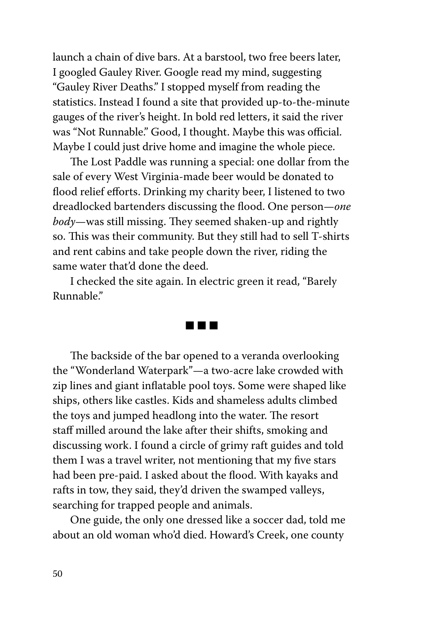launch a chain of dive bars. At a barstool, two free beers later, I googled Gauley River. Google read my mind, suggesting "Gauley River Deaths." I stopped myself from reading the statistics. Instead I found a site that provided up-to-the-minute gauges of the river's height. In bold red letters, it said the river was "Not Runnable." Good, I thought. Maybe this was official. Maybe I could just drive home and imagine the whole piece.

The Lost Paddle was running a special: one dollar from the sale of every West Virginia-made beer would be donated to flood relief efforts. Drinking my charity beer, I listened to two dreadlocked bartenders discussing the flood. One person—one  $body$ —was still missing. They seemed shaken-up and rightly so. This was their community. But they still had to sell T-shirts and rent cabins and take people down the river, riding the same water that'd done the deed.

I checked the site again. In electric green it read, "Barely Runnable."

■ ■ ■

The backside of the bar opened to a veranda overlooking the "Wonderland Waterpark"—a two-acre lake crowded with zip lines and giant inflatable pool toys. Some were shaped like ships, others like castles. Kids and shameless adults climbed the toys and jumped headlong into the water. The resort staff milled around the lake after their shifts, smoking and discussing work. I found a circle of grimy raft guides and told them I was a travel writer, not mentioning that my five stars had been pre-paid. I asked about the flood. With kayaks and rafts in tow, they said, they'd driven the swamped valleys, searching for trapped people and animals.

One guide, the only one dressed like a soccer dad, told me about an old woman who'd died. Howard's Creek, one county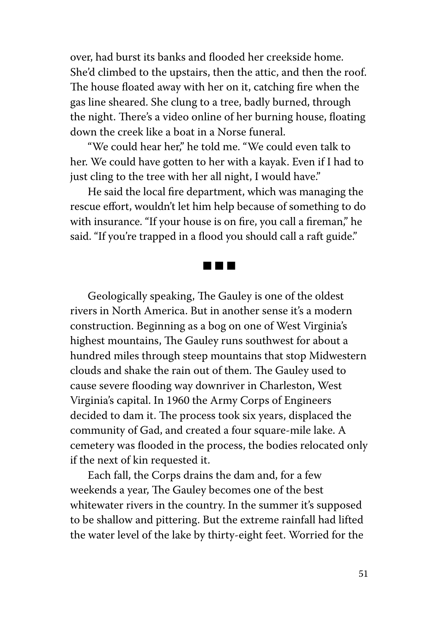over, had burst its banks and flooded her creekside home. She'd climbed to the upstairs, then the attic, and then the roof. The house floated away with her on it, catching fire when the gas line sheared. She clung to a tree, badly burned, through the night. There's a video online of her burning house, floating down the creek like a boat in a Norse funeral.

"We could hear her," he told me. "We could even talk to her. We could have gotten to her with a kayak. Even if I had to just cling to the tree with her all night, I would have."

He said the local fire department, which was managing the rescue effort, wouldn't let him help because of something to do with insurance. "If your house is on fire, you call a fireman," he said. "If you're trapped in a flood you should call a raft guide."

■ ■ ■

Geologically speaking, The Gauley is one of the oldest rivers in North America. But in another sense it's a modern construction. Beginning as a bog on one of West Virginia's highest mountains, The Gauley runs southwest for about a hundred miles through steep mountains that stop Midwestern clouds and shake the rain out of them. The Gauley used to cause severe flooding way downriver in Charleston, West Virginia's capital. In 1960 the Army Corps of Engineers decided to dam it. The process took six years, displaced the community of Gad, and created a four square-mile lake. A cemetery was flooded in the process, the bodies relocated only if the next of kin requested it.

Each fall, the Corps drains the dam and, for a few weekends a year, The Gauley becomes one of the best whitewater rivers in the country. In the summer it's supposed to be shallow and pittering. But the extreme rainfall had lifted the water level of the lake by thirty-eight feet. Worried for the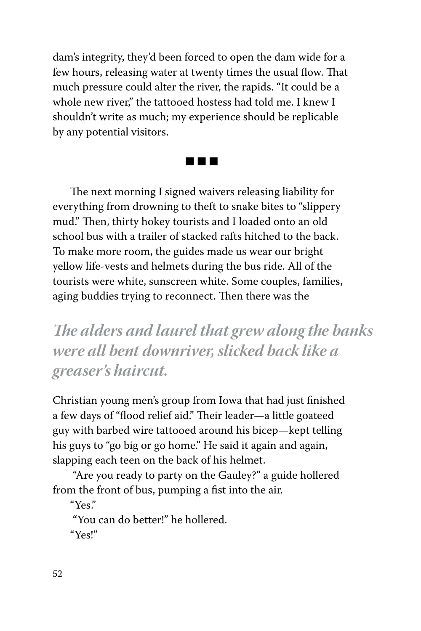dam's integrity, they'd been forced to open the dam wide for a few hours, releasing water at twenty times the usual flow. That much pressure could alter the river, the rapids. "It could be a whole new river," the tattooed hostess had told me. I knew I shouldn't write as much; my experience should be replicable by any potential visitors.



The next morning I signed waivers releasing liability for everything from drowning to theft to snake bites to "slippery mud." Then, thirty hokey tourists and I loaded onto an old school bus with a trailer of stacked rafts hitched to the back. To make more room, the guides made us wear our bright yellow life-vests and helmets during the bus ride. All of the tourists were white, sunscreen white. Some couples, families, aging buddies trying to reconnect. Then there was the

**Te alders and laurel that grew along the banks were all bent downriver, slicked back like a greaser's haircut.**

Christian young men's group from Iowa that had just finished a few days of "flood relief aid." Their leader—a little goateed guy with barbed wire tattooed around his bicep—kept telling his guys to "go big or go home." He said it again and again, slapping each teen on the back of his helmet.

 "Are you ready to party on the Gauley?" a guide hollered from the front of bus, pumping a fist into the air.

"Yes." "You can do better!" he hollered. "Yes!"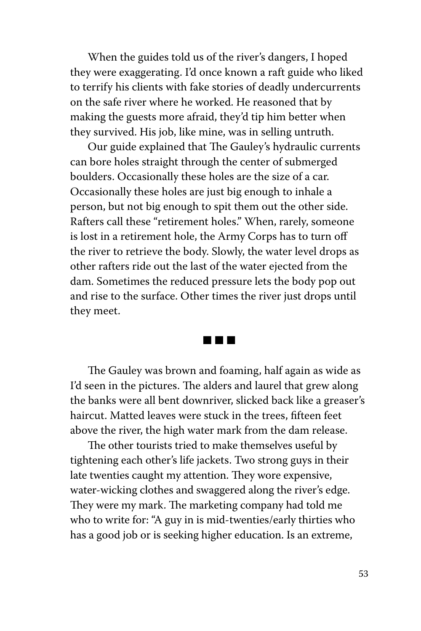When the guides told us of the river's dangers, I hoped they were exaggerating. I'd once known a raft guide who liked to terrify his clients with fake stories of deadly undercurrents on the safe river where he worked. He reasoned that by making the guests more afraid, they'd tip him better when they survived. His job, like mine, was in selling untruth.

Our guide explained that The Gauley's hydraulic currents can bore holes straight through the center of submerged boulders. Occasionally these holes are the size of a car. Occasionally these holes are just big enough to inhale a person, but not big enough to spit them out the other side. Rafters call these "retirement holes." When, rarely, someone is lost in a retirement hole, the Army Corps has to turn off the river to retrieve the body. Slowly, the water level drops as other rafters ride out the last of the water ejected from the dam. Sometimes the reduced pressure lets the body pop out and rise to the surface. Other times the river just drops until they meet.



The Gauley was brown and foaming, half again as wide as I'd seen in the pictures. The alders and laurel that grew along the banks were all bent downriver, slicked back like a greaser's haircut. Matted leaves were stuck in the trees, fifteen feet above the river, the high water mark from the dam release.

The other tourists tried to make themselves useful by tightening each other's life jackets. Two strong guys in their late twenties caught my attention. They wore expensive, water-wicking clothes and swaggered along the river's edge. They were my mark. The marketing company had told me who to write for: "A guy in is mid-twenties/early thirties who has a good job or is seeking higher education. Is an extreme,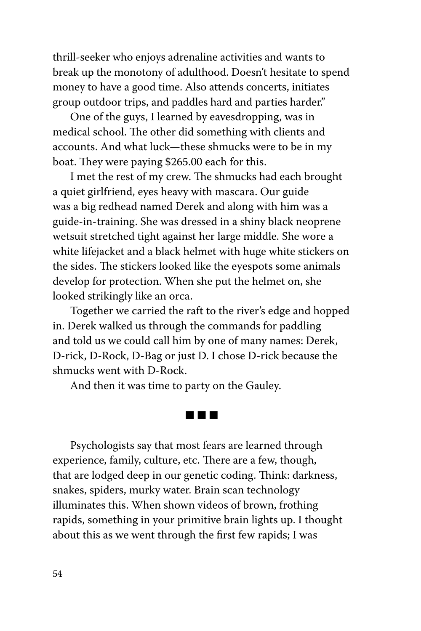thrill-seeker who enjoys adrenaline activities and wants to break up the monotony of adulthood. Doesn't hesitate to spend money to have a good time. Also attends concerts, initiates group outdoor trips, and paddles hard and parties harder."

One of the guys, I learned by eavesdropping, was in medical school. The other did something with clients and accounts. And what luck—these shmucks were to be in my boat. They were paying \$265.00 each for this.

I met the rest of my crew. The shmucks had each brought a quiet girlfriend, eyes heavy with mascara. Our guide was a big redhead named Derek and along with him was a guide-in-training. She was dressed in a shiny black neoprene wetsuit stretched tight against her large middle. She wore a white lifejacket and a black helmet with huge white stickers on the sides. The stickers looked like the eyespots some animals develop for protection. When she put the helmet on, she looked strikingly like an orca.

Together we carried the raft to the river's edge and hopped in. Derek walked us through the commands for paddling and told us we could call him by one of many names: Derek, D-rick, D-Rock, D-Bag or just D. I chose D-rick because the shmucks went with D-Rock.

And then it was time to party on the Gauley.

## ■ ■ ■

Psychologists say that most fears are learned through experience, family, culture, etc. There are a few, though, that are lodged deep in our genetic coding. Think: darkness, snakes, spiders, murky water. Brain scan technology illuminates this. When shown videos of brown, frothing rapids, something in your primitive brain lights up. I thought about this as we went through the first few rapids; I was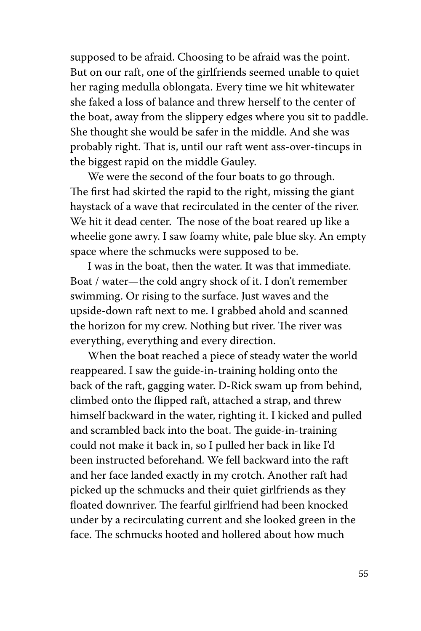supposed to be afraid. Choosing to be afraid was the point. But on our raft, one of the girlfriends seemed unable to quiet her raging medulla oblongata. Every time we hit whitewater she faked a loss of balance and threw herself to the center of the boat, away from the slippery edges where you sit to paddle. She thought she would be safer in the middle. And she was probably right. That is, until our raft went ass-over-tincups in the biggest rapid on the middle Gauley.

We were the second of the four boats to go through. The first had skirted the rapid to the right, missing the giant haystack of a wave that recirculated in the center of the river. We hit it dead center. The nose of the boat reared up like a wheelie gone awry. I saw foamy white, pale blue sky. An empty space where the schmucks were supposed to be.

I was in the boat, then the water. It was that immediate. Boat / water—the cold angry shock of it. I don't remember swimming. Or rising to the surface. Just waves and the upside-down raft next to me. I grabbed ahold and scanned the horizon for my crew. Nothing but river. The river was everything, everything and every direction.

When the boat reached a piece of steady water the world reappeared. I saw the guide-in-training holding onto the back of the raft, gagging water. D-Rick swam up from behind, climbed onto the flipped raft, attached a strap, and threw himself backward in the water, righting it. I kicked and pulled and scrambled back into the boat. The guide-in-training could not make it back in, so I pulled her back in like I'd been instructed beforehand. We fell backward into the raft and her face landed exactly in my crotch. Another raft had picked up the schmucks and their quiet girlfriends as they floated downriver. The fearful girlfriend had been knocked under by a recirculating current and she looked green in the face. The schmucks hooted and hollered about how much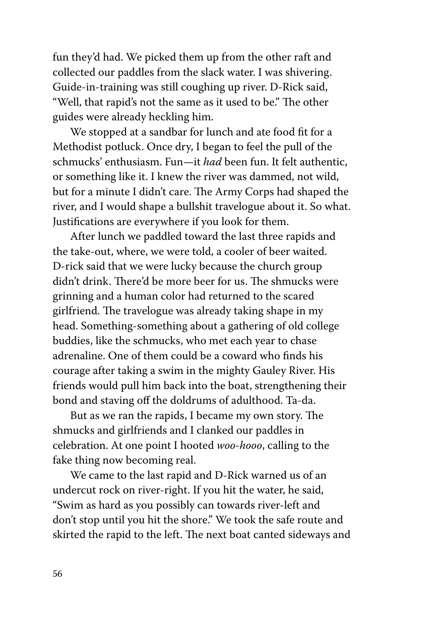fun they'd had. We picked them up from the other raft and collected our paddles from the slack water. I was shivering. Guide-in-training was still coughing up river. D-Rick said, "Well, that rapid's not the same as it used to be." The other guides were already heckling him.

We stopped at a sandbar for lunch and ate food fit for a Methodist potluck. Once dry, I began to feel the pull of the schmucks' enthusiasm. Fun-it had been fun. It felt authentic, or something like it. I knew the river was dammed, not wild, but for a minute I didn't care. The Army Corps had shaped the river, and I would shape a bullshit travelogue about it. So what. Justifications are everywhere if you look for them.

After lunch we paddled toward the last three rapids and the take-out, where, we were told, a cooler of beer waited. D-rick said that we were lucky because the church group didn't drink. There'd be more beer for us. The shmucks were grinning and a human color had returned to the scared girlfriend. The travelogue was already taking shape in my head. Something-something about a gathering of old college buddies, like the schmucks, who met each year to chase adrenaline. One of them could be a coward who finds his courage after taking a swim in the mighty Gauley River. His friends would pull him back into the boat, strengthening their bond and staving off the doldrums of adulthood. Ta-da.

But as we ran the rapids, I became my own story. The shmucks and girlfriends and I clanked our paddles in celebration. At one point I hooted woo-hooo, calling to the fake thing now becoming real.

We came to the last rapid and D-Rick warned us of an undercut rock on river-right. If you hit the water, he said, "Swim as hard as you possibly can towards river-left and don't stop until you hit the shore." We took the safe route and skirted the rapid to the left. The next boat canted sideways and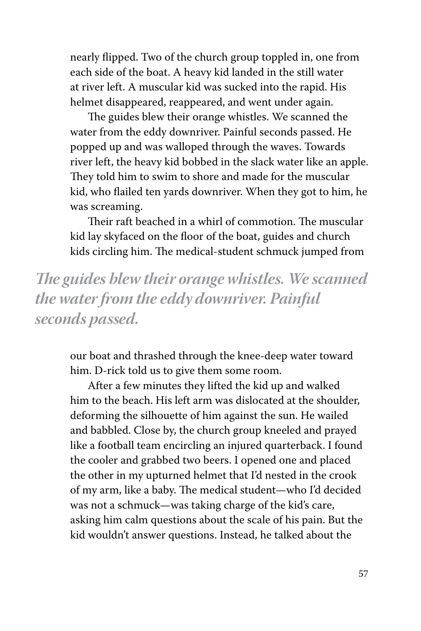nearly flipped. Two of the church group toppled in, one from each side of the boat. A heavy kid landed in the still water at river left. A muscular kid was sucked into the rapid. His helmet disappeared, reappeared, and went under again.

The guides blew their orange whistles. We scanned the water from the eddy downriver. Painful seconds passed. He popped up and was walloped through the waves. Towards river left, the heavy kid bobbed in the slack water like an apple. They told him to swim to shore and made for the muscular kid, who flailed ten yards downriver. When they got to him, he was screaming.

Their raft beached in a whirl of commotion. The muscular kid lay skyfaced on the floor of the boat, guides and church kids circling him. The medical-student schmuck jumped from

**Te guides blew their orange whistles. We scanned the water from the eddy downriver. Painful seconds passed.**

> our boat and thrashed through the knee-deep water toward him. D-rick told us to give them some room.

After a few minutes they lifted the kid up and walked him to the beach. His left arm was dislocated at the shoulder, deforming the silhouette of him against the sun. He wailed and babbled. Close by, the church group kneeled and prayed like a football team encircling an injured quarterback. I found the cooler and grabbed two beers. I opened one and placed the other in my upturned helmet that I'd nested in the crook of my arm, like a baby. The medical student-who I'd decided was not a schmuck—was taking charge of the kid's care, asking him calm questions about the scale of his pain. But the kid wouldn't answer questions. Instead, he talked about the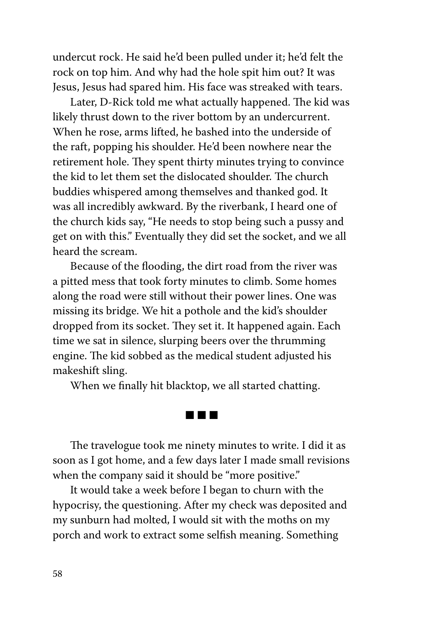undercut rock. He said he'd been pulled under it; he'd felt the rock on top him. And why had the hole spit him out? It was Jesus, Jesus had spared him. His face was streaked with tears.

Later, D-Rick told me what actually happened. The kid was likely thrust down to the river bottom by an undercurrent. When he rose, arms lifted, he bashed into the underside of the raft, popping his shoulder. He'd been nowhere near the retirement hole. They spent thirty minutes trying to convince the kid to let them set the dislocated shoulder. The church buddies whispered among themselves and thanked god. It was all incredibly awkward. By the riverbank, I heard one of the church kids say, "He needs to stop being such a pussy and get on with this." Eventually they did set the socket, and we all heard the scream.

Because of the flooding, the dirt road from the river was a pitted mess that took forty minutes to climb. Some homes along the road were still without their power lines. One was missing its bridge. We hit a pothole and the kid's shoulder dropped from its socket. They set it. It happened again. Each time we sat in silence, slurping beers over the thrumming engine. The kid sobbed as the medical student adjusted his makeshift sling.

When we finally hit blacktop, we all started chatting.

The travelogue took me ninety minutes to write. I did it as soon as I got home, and a few days later I made small revisions when the company said it should be "more positive."

■ ■ ■

It would take a week before I began to churn with the hypocrisy, the questioning. After my check was deposited and my sunburn had molted, I would sit with the moths on my porch and work to extract some selfish meaning. Something